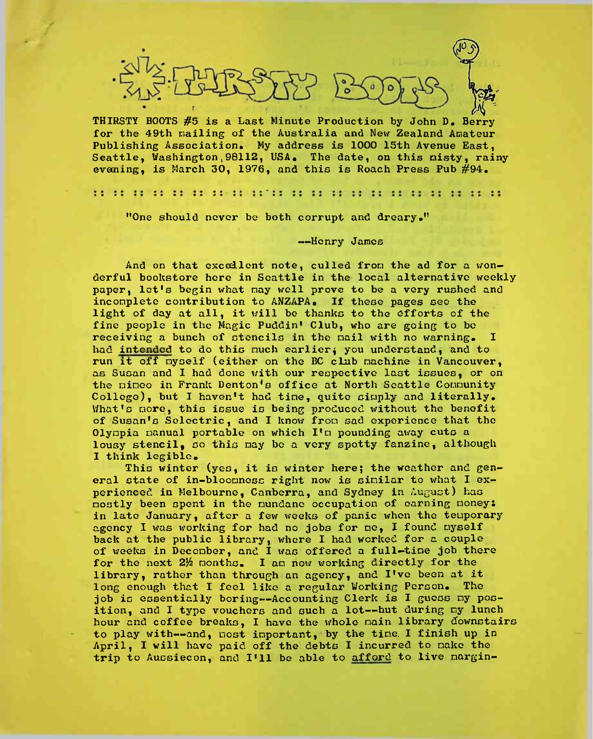

THIRSTY BOOTS #5 is a Last Minute Production by John D. Berry for the 49th nailing of the Australia and New Zealand Amateur Publishing Association. My address is 1000 15th Avenue East. Seattle, Washington,98112, USA. The date, on this misty, rainy evecning, is March 30, 1976, and this is Roach Press Pub #94.

dal se se la presencia del segundo del segundo de la presencia del segundo del segundo del segundo del segundo

"One should never be both corrupt and dreary."

#### —Henry James

And on that excellent note, culled from the ad for a wonderful bookstore here in Seattle in the local alternative weekly paper, lot's begin what nay well prove to be a very rushed and incomplete contribution to ANZAPA. If these pages sec the light of day at all, it will be thanks to the efforts of the fine people in the Magic Puddin' Club, who are going to be receiving a bunch of stencils in the nail with no warning. I had intended to do this much earlier; you understand, and to run it off myself (either on the BC club machine in Vancouver, as Susan and I had done with our respective last issues, or on the nimeo in Frank Denton's office at North Seattle Community College), but I haven't had tine, quite simply and literally. What's more, this issue is being produced without the benefit of Susan's Seloctric, and I know from sad experience that the Olynpia nanual portable on which I'm pounding away cuts a lousy stencil, so this may be a very spotty fanzine, although I think legible.

This winter (yes, it is winter here; the weather and general state of in-bloonnoss right now is similar to what I experienced in Melbourne, Canberra, and Sydney in August) has mostly been spent in the mundane occupation of earning money: in late January, after a few weeks of panic when the temporary agency I was working for had no jobs for ne, I found myself back at the public library, where I had worked for a couple of weeks in December, and I was offered a full-time job there for the next 2% months. I am now working directly for the library, rather than through an agency, and I've been at it long enough that I feel like a regular Working Person. The job is essentially boring--Accounting Clerk is I guess my position, and I type vouchers and such a lot--but during my lunch hour and coffee breaks, I have the whole main library downstairs to play with—and, most important, by the time. <sup>I</sup> finish up in April, I will have paid off the debts I incurred to make the trip to Aussiecon, and I'll be able to afford to live margin-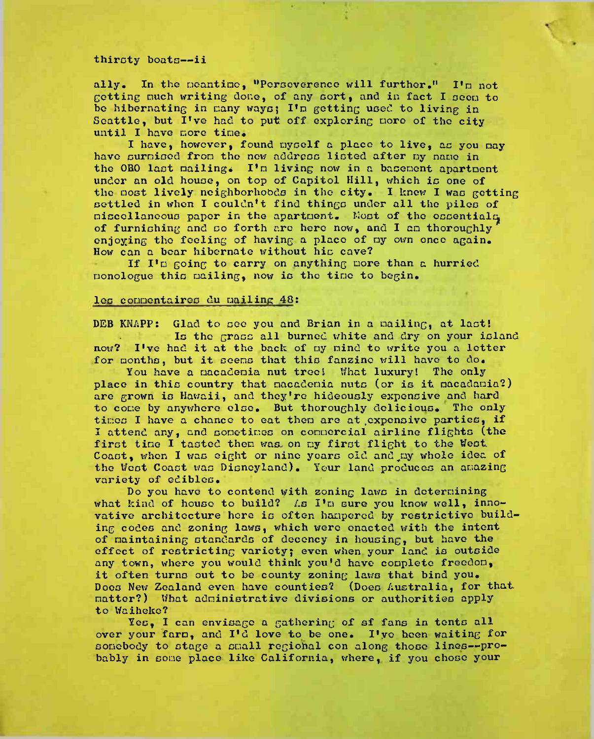### thirsty boats—ii

ally. In the meantime, "Perseverence will further." I'm not Getting much writing done, of any sort, and in fact I seen to be hibernating in cany ways; I'n getting used to living in Seattle, but I've had to put off exploring more of the city until I have more tine.

I have, however, found myself a place to live, as you nay have surmised fron the now address listed after ny nano in the 0B0 last mailings I'n living now in a basenent apartnent under an old house, on top of Capitol Hill, which is one of the nost lively neighborhoods in the city. I know I was getting settled in when I couldn't find things under all the piles of miscellaneous paper in the apartment. Most of the essentials, of furnishing and so forth arc hero now, and I an thoroughly enjoying the feeling of having a place of my own once again. How can a bear hibernate without his cave?

If I'n going to carry on anything nore than a hurried nonologue this nailing, now is tho tino to begin.

# loo connontaires du nailing 48:

DEB KNAPP: Glad to see you and Brian in a mailing, at last! Is the grass all burned white and dry on your island now? I've had it at the back of ny mind to write you a letter for months, but it seems that this fanzine will have to do.

You have a macadenia nut tree! What luxury! The only place in this country that nacadenia nuts (or is it nacadania?) are grown is Hawaii, and they're hideously expensive and hard to cone by anywhere else. But thoroughly delicious. Tho only tines I have a chance to eat then are at expensive parties, if I attend any, and sometimes on conuercial airline flights (the first tine I tasted then was on my first flight to the West Coast, when I was eight or nine years old and my whole idea of tho West Coast was Disneyland). Your land produces an anazing variety of edibles.

Do you have to contend with zoning laws in deternining what kind of house to build? As I'm sure you know well, innovative architecture here is often hampered by restrictive building codes and zoning laws, which were enacted with the intent of maintaining standards of decency in housing, but have the effect of restricting variety; even when your land is outside any town, where you would think you'd have complete freedom, it often turns out to be county zoning laws that bind you. Does New Zealand even have counties? (Does Australia, for that, matter?) What administrative divisions or authorities apply to Waiheke?

Yes. I can envisage a gathering of sf fans in tents all over your farm, and I'd love to be one. I'yo been waiting for somebody to stage a small regional con along those lines--probably in some place like California, where, if you chose your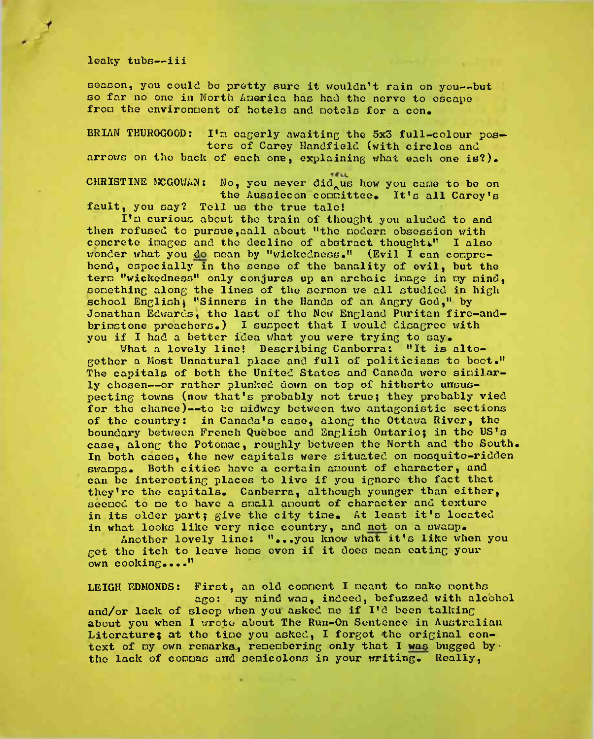# leaky tube—iii

season, you could bo pretty sure it wouldn't rain on you—but bo far no one in North America has had the norvo to escape from the environment of hotels and motels for a con.

BRIAN THUROGOOD: I'm eagerly awaiting the 5x3 full-colour posters of Carey Handfield (with circles and arrows on the back of each one, explaining what each one is?).

CHRISTINE MCGOWAN: No, you never did us how you cane to be on the Aussiecon committee. It's all Carey's fault, you say? Tell us tho true talol

I'm curious about tho train of thought you aluded to and then refused to pursue,aall about "tho modern obsession with concrete images and the decline of abstract thoughts" I also wonder what you do nean by "wickedness." (Evil I can comprehend, especially in the sense of the banality of evil, but the term "wickedness" only conjures up an archaic image in my mind. something along the lines of the sermon we all studied in high school English} "Sinners in the Hands of an Angry God," by Jonathan Edwards, the last of the New England Puritan fire-andbrimstone preachers.) I suspect that I would disagree with you if I had a better idea what you were trying to say.

What a lovely line! Describing Canberra: "It is altogether a Most Unnatural place and full of politicians to boot." The capitals of both the United States and Canada were similarly chosen—or rather plunked down on top of hitherto unsuspecting towns (now that's probably not true; they probably vied for the chance)--to be midway between two antagonistic sections of tho country: in Canada's case, along the Ottawa River, the boundary between French Quebec and English Ontario; in the US's case, along the Potomac, roughly between the North and tho South. In both cases, the new capitals were situated on mosquito-ridden swamps. Both cities have a certain amount of character, and can be interesting places to live if you ignore tho fact that they're tho capitals. Canberra, although younger than either, seemed to me to have a small amount of character and texture in its older part; give the city time. At least it's located in what looks like very nice country, and not on a swamp.

Another lovely line: "...you know what it's like when you get the itch to leave home oven if it does mean eating your own cooking...."

LEIGH EDMONDS: First, an old comment I meant to make months ago: my mind was, indeed, befuzzed with alcohol and/or lack of sloop when you asked me if I'd been talking about you when I wrote about The Run-On Sentence in Australian Literature; at the time you asked, I forgot the original context of my own remarks, remembering only that I was bugged by  $\cdot$ the lack of commas and semicolons in your writing. Really,